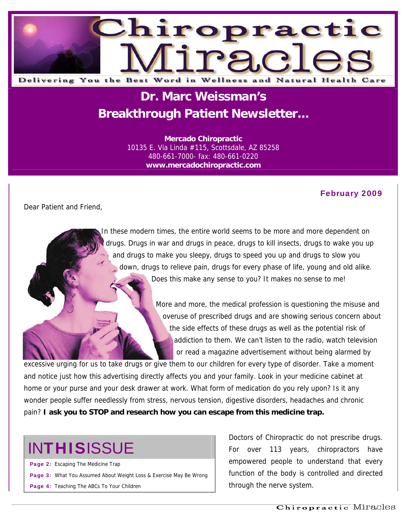

# **Dr. Marc Weissman's Breakthrough Patient Newsletter...**

**Mercado Chiropractic**  10135 E. Via Linda #115, Scottsdale, AZ 85258 480-661-7000- fax: 480-661-0220 **www.mercadochiropractic.com**

#### February 2009

Dear Patient and Friend,

 In these modern times, the entire world seems to be more and more dependent on drugs. Drugs in war and drugs in peace, drugs to kill insects, drugs to wake you up and drugs to make you sleepy, drugs to speed you up and drugs to slow you down, drugs to relieve pain, drugs for every phase of life, young and old alike. Does this make any sense to you? It makes no sense to me!

> More and more, the medical profession is questioning the misuse and overuse of prescribed drugs and are showing serious concern about the side effects of these drugs as well as the potential risk of addiction to them. We can't listen to the radio, watch television or read a magazine advertisement without being alarmed by

excessive urging for us to take drugs or give them to our children for every type of disorder. Take a moment and notice just how this advertising directly affects you and your family. Look in your medicine cabinet at home or your purse and your desk drawer at work. What form of medication do you rely upon? Is it any wonder people suffer needlessly from stress, nervous tension, digestive disorders, headaches and chronic pain? **I ask you to STOP and research how you can escape from this medicine trap.** 

# **INTHISISSUE**

Page 2: Escaping The Medicine Trap Page 3: What You Assumed About Weight Loss & Exercise May Be Wrong Page 4: Teaching The ABCs To Your Children

Doctors of Chiropractic do not prescribe drugs. For over 113 years, chiropractors have empowered people to understand that every function of the body is controlled and directed through the nerve system.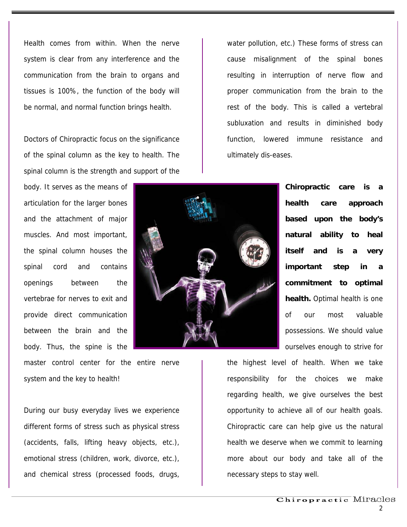Health comes from within. When the nerve system is clear from any interference and the communication from the brain to organs and tissues is 100%, the function of the body will be normal, and normal function brings health.

Doctors of Chiropractic focus on the significance of the spinal column as the key to health. The spinal column is the strength and support of the

body. It serves as the means of articulation for the larger bones and the attachment of major muscles. And most important, the spinal column houses the spinal cord and contains openings between the vertebrae for nerves to exit and provide direct communication between the brain and the body. Thus, the spine is the

master control center for the entire nerve system and the key to health!

During our busy everyday lives we experience different forms of stress such as physical stress (accidents, falls, lifting heavy objects, etc.), emotional stress (children, work, divorce, etc.), and chemical stress (processed foods, drugs,

water pollution, etc.) These forms of stress can cause misalignment of the spinal bones resulting in interruption of nerve flow and proper communication from the brain to the rest of the body. This is called a vertebral subluxation and results in diminished body function, lowered immune resistance and ultimately dis-eases.



**Chiropractic care is a health care approach based upon the body's natural ability to heal itself and is a very important step in a commitment to optimal health.** Optimal health is one of our most valuable possessions. We should value ourselves enough to strive for

the highest level of health. When we take responsibility for the choices we make regarding health, we give ourselves the best opportunity to achieve all of our health goals. Chiropractic care can help give us the natural health we deserve when we commit to learning more about our body and take all of the necessary steps to stay well.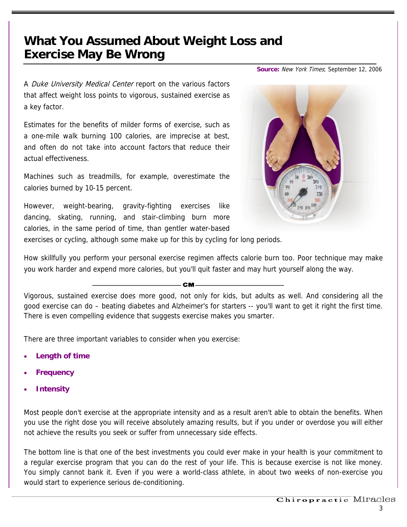### **What You Assumed About Weight Loss and Exercise May Be Wrong**

**Source:** New York Times; September 12, 2006

A Duke University Medical Center report on the various factors that affect weight loss points to vigorous, sustained exercise as a key factor.

Estimates for the benefits of milder forms of exercise, such as a one-mile walk burning 100 calories, are imprecise at best, and often do not take into account factors that reduce their actual effectiveness.

Machines such as treadmills, for example, overestimate the calories burned by 10-15 percent.

However, weight-bearing, gravity-fighting exercises like dancing, skating, running, and stair-climbing burn more calories, in the same period of time, than gentler water-based



exercises or cycling, although some make up for this by cycling for long periods.

How skillfully you perform your personal exercise regimen affects calorie burn too. Poor technique may make you work harder and expend more calories, but you'll quit faster and may hurt yourself along the way.

Vigorous, sustained exercise does more good, [not only for kids,](http://www.mercola.com/2006/sep/14/how_children_can_beat_obesity.htm) but adults as well. And considering all the good exercise can do – beating [diabetes](http://www.mercola.com/display/router.aspx?docid=33659) and [Alzheimer's](http://www.mercola.com/2006/mar/14/the_mind-altering_benefits_of_exercise.htm) for starters -- you'll want to get it right the first time. There is even compelling evidence that suggests [exercise makes you smarter.](http://www.mercola.com/2005/oct/4/exercise_makes_you_smarter.htm)

**CM** 

There are three important variables to consider when you exercise:

- **Length of time**
- **Frequency**
- **Intensity**

Most people don't exercise at the appropriate intensity and as a result aren't able to obtain the benefits. When you use the right dose you will receive absolutely amazing results, but if you under or overdose you will either not achieve the results you seek or suffer from unnecessary side effects.

The bottom line is that one of the best investments you could ever make in your health is your commitment to a regular exercise program that you can do the rest of your life. This is because exercise is not like money. You simply cannot bank it. Even if you were a world-class athlete, in about two weeks of non-exercise you would start to experience serious de-conditioning.